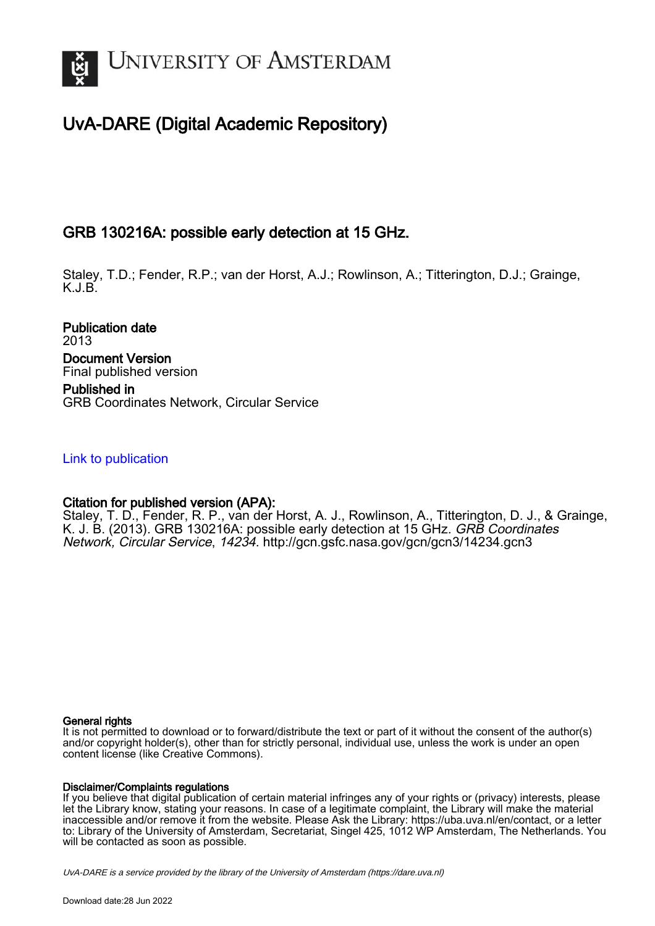

# UvA-DARE (Digital Academic Repository)

## GRB 130216A: possible early detection at 15 GHz.

Staley, T.D.; Fender, R.P.; van der Horst, A.J.; Rowlinson, A.; Titterington, D.J.; Grainge, K.J.B.

Publication date 2013 Document Version Final published version Published in GRB Coordinates Network, Circular Service

## [Link to publication](https://dare.uva.nl/personal/pure/en/publications/grb-130216a-possible-early-detection-at-15-ghz(a5d1ce1c-e475-4aa5-ba2c-8cf8204417ba).html)

## Citation for published version (APA):

Staley, T. D., Fender, R. P., van der Horst, A. J., Rowlinson, A., Titterington, D. J., & Grainge, K. J. B. (2013). GRB 130216A: possible early detection at 15 GHz. GRB Coordinates Network, Circular Service, 14234. <http://gcn.gsfc.nasa.gov/gcn/gcn3/14234.gcn3>

#### General rights

It is not permitted to download or to forward/distribute the text or part of it without the consent of the author(s) and/or copyright holder(s), other than for strictly personal, individual use, unless the work is under an open content license (like Creative Commons).

#### Disclaimer/Complaints regulations

If you believe that digital publication of certain material infringes any of your rights or (privacy) interests, please let the Library know, stating your reasons. In case of a legitimate complaint, the Library will make the material inaccessible and/or remove it from the website. Please Ask the Library: https://uba.uva.nl/en/contact, or a letter to: Library of the University of Amsterdam, Secretariat, Singel 425, 1012 WP Amsterdam, The Netherlands. You will be contacted as soon as possible.

UvA-DARE is a service provided by the library of the University of Amsterdam (http*s*://dare.uva.nl)